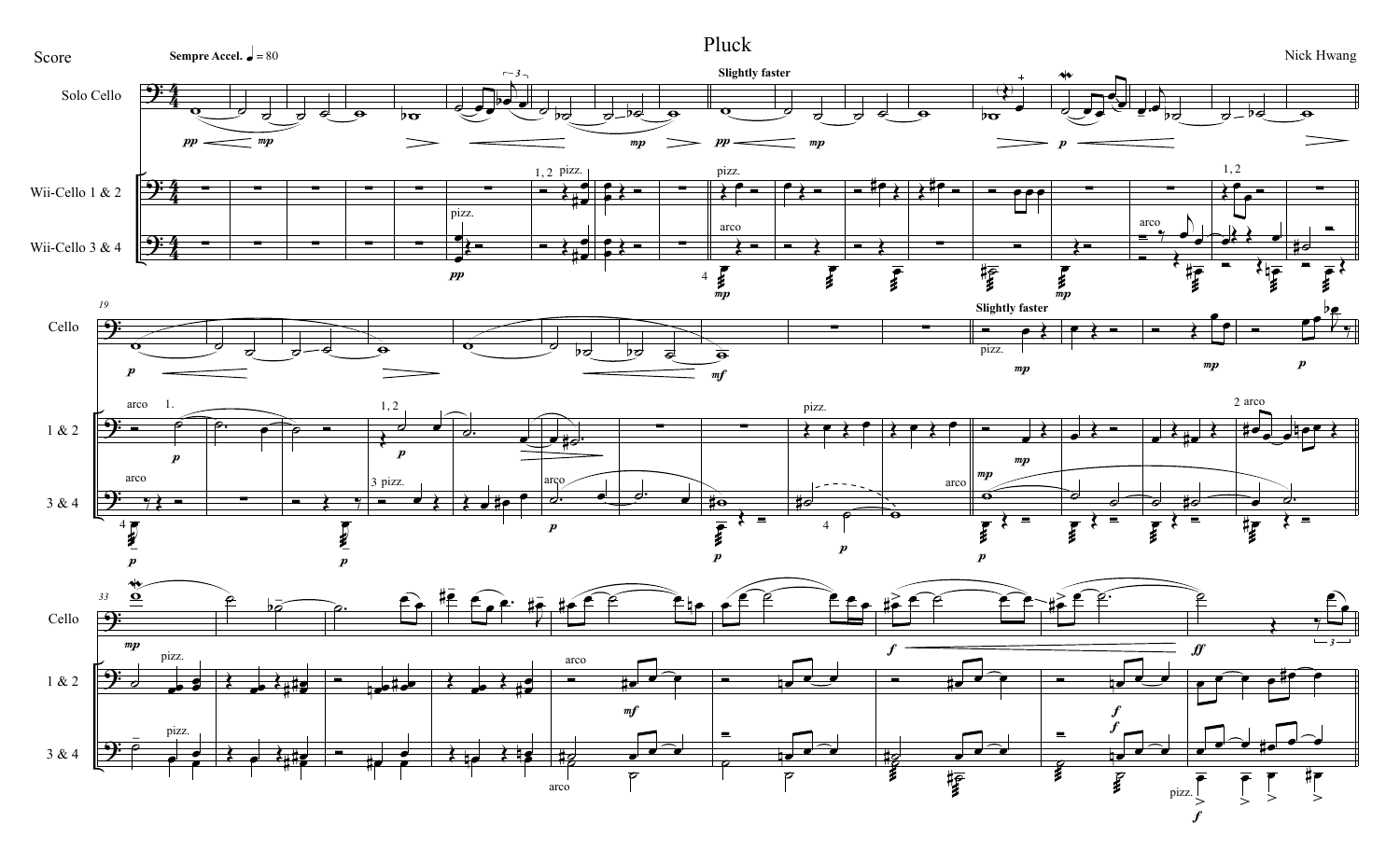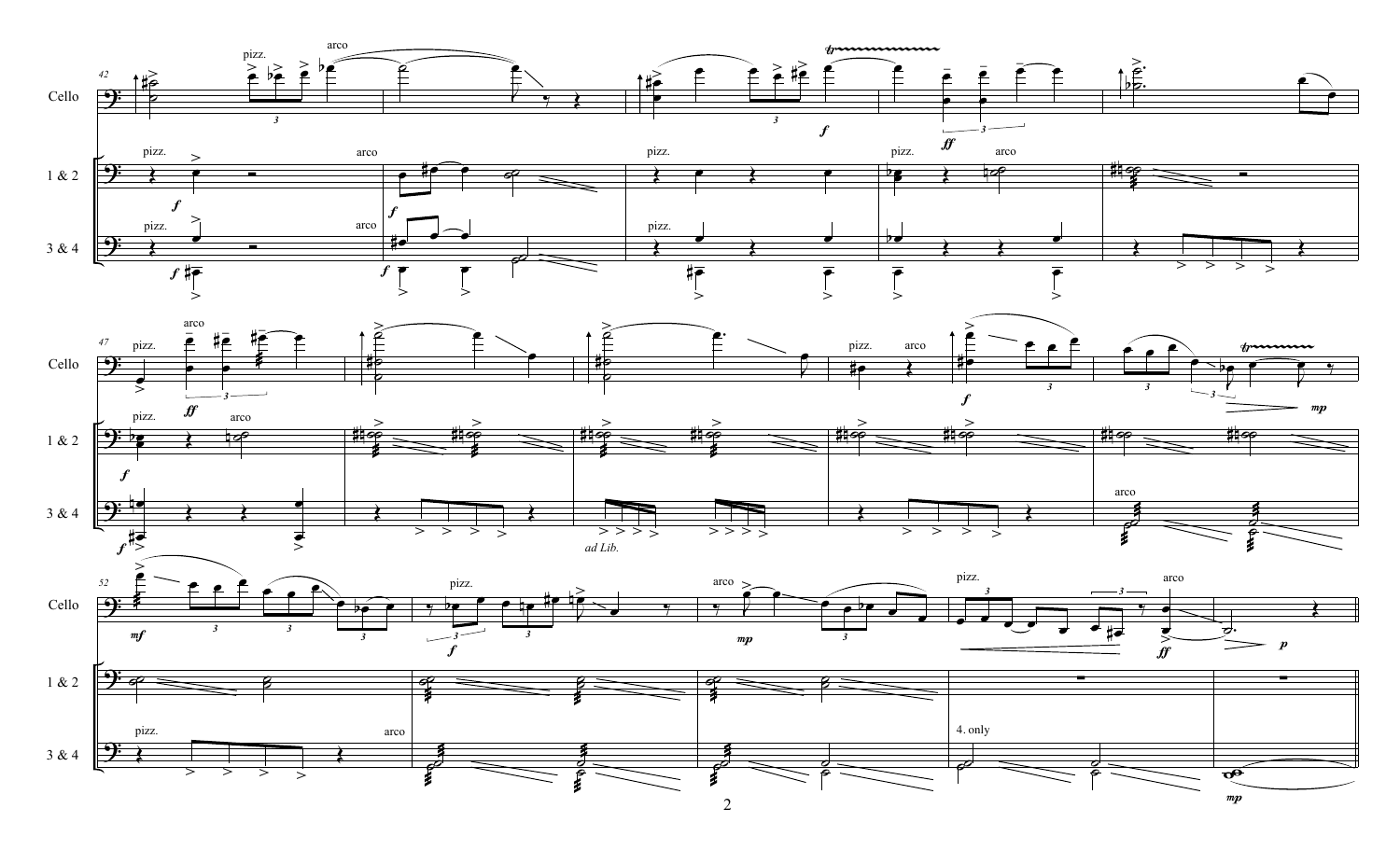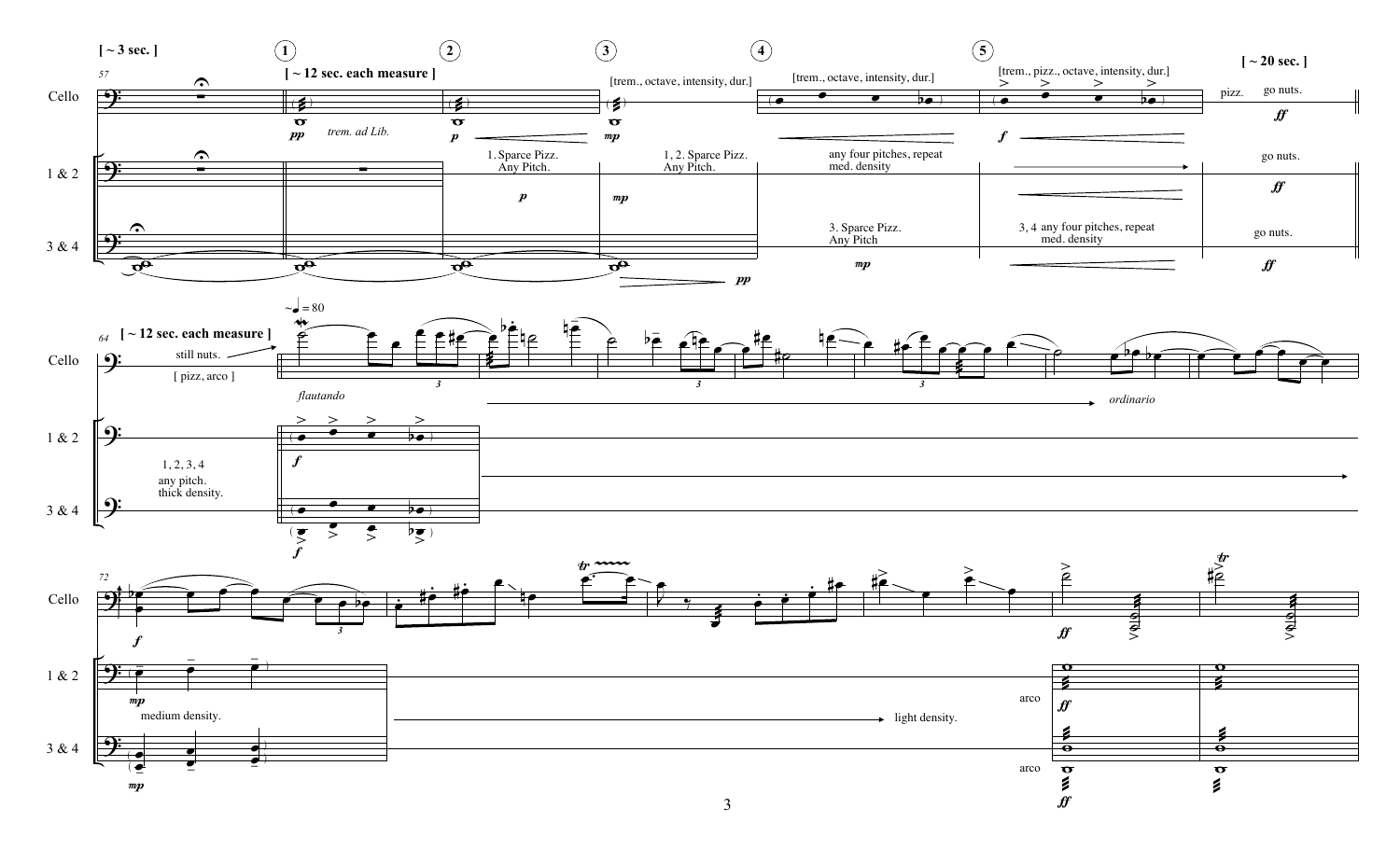